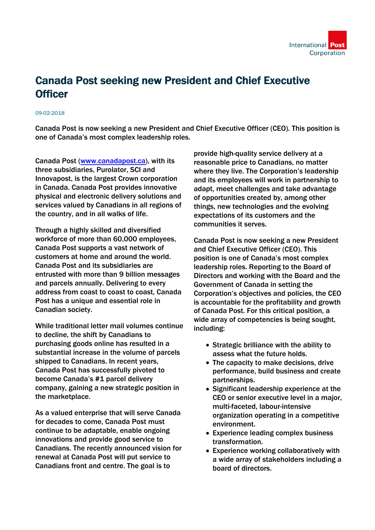

## Canada Post seeking new President and Chief Executive **Officer**

## 09-02-2018

Canada Post is now seeking a new President and Chief Executive Officer (CEO). This position is one of Canada's most complex leadership roles.

Canada Post [\(www.canadapost.ca\)](http://www.canadapost.ca/), with its three subsidiaries, Purolator, SCI and Innovapost, is the largest Crown corporation in Canada. Canada Post provides innovative physical and electronic delivery solutions and services valued by Canadians in all regions of the country, and in all walks of life.

Through a highly skilled and diversified workforce of more than 60,000 employees, Canada Post supports a vast network of customers at home and around the world. Canada Post and its subsidiaries are entrusted with more than 9 billion messages and parcels annually. Delivering to every address from coast to coast to coast, Canada Post has a unique and essential role in Canadian society.

While traditional letter mail volumes continue to decline, the shift by Canadians to purchasing goods online has resulted in a substantial increase in the volume of parcels shipped to Canadians. In recent years, Canada Post has successfully pivoted to become Canada's #1 parcel delivery company, gaining a new strategic position in the marketplace.

As a valued enterprise that will serve Canada for decades to come, Canada Post must continue to be adaptable, enable ongoing innovations and provide good service to Canadians. The recently announced vision for renewal at Canada Post will put service to Canadians front and centre. The goal is to

provide high-quality service delivery at a reasonable price to Canadians, no matter where they live. The Corporation's leadership and its employees will work in partnership to adapt, meet challenges and take advantage of opportunities created by, among other things, new technologies and the evolving expectations of its customers and the communities it serves.

Canada Post is now seeking a new President and Chief Executive Officer (CEO). This position is one of Canada's most complex leadership roles. Reporting to the Board of Directors and working with the Board and the Government of Canada in setting the Corporation's objectives and policies, the CEO is accountable for the profitability and growth of Canada Post. For this critical position, a wide array of competencies is being sought, including:

- Strategic brilliance with the ability to assess what the future holds.
- The capacity to make decisions, drive performance, build business and create partnerships.
- Significant leadership experience at the CEO or senior executive level in a major, multi-faceted, labour-intensive organization operating in a competitive environment.
- Experience leading complex business transformation.
- Experience working collaboratively with a wide array of stakeholders including a board of directors.